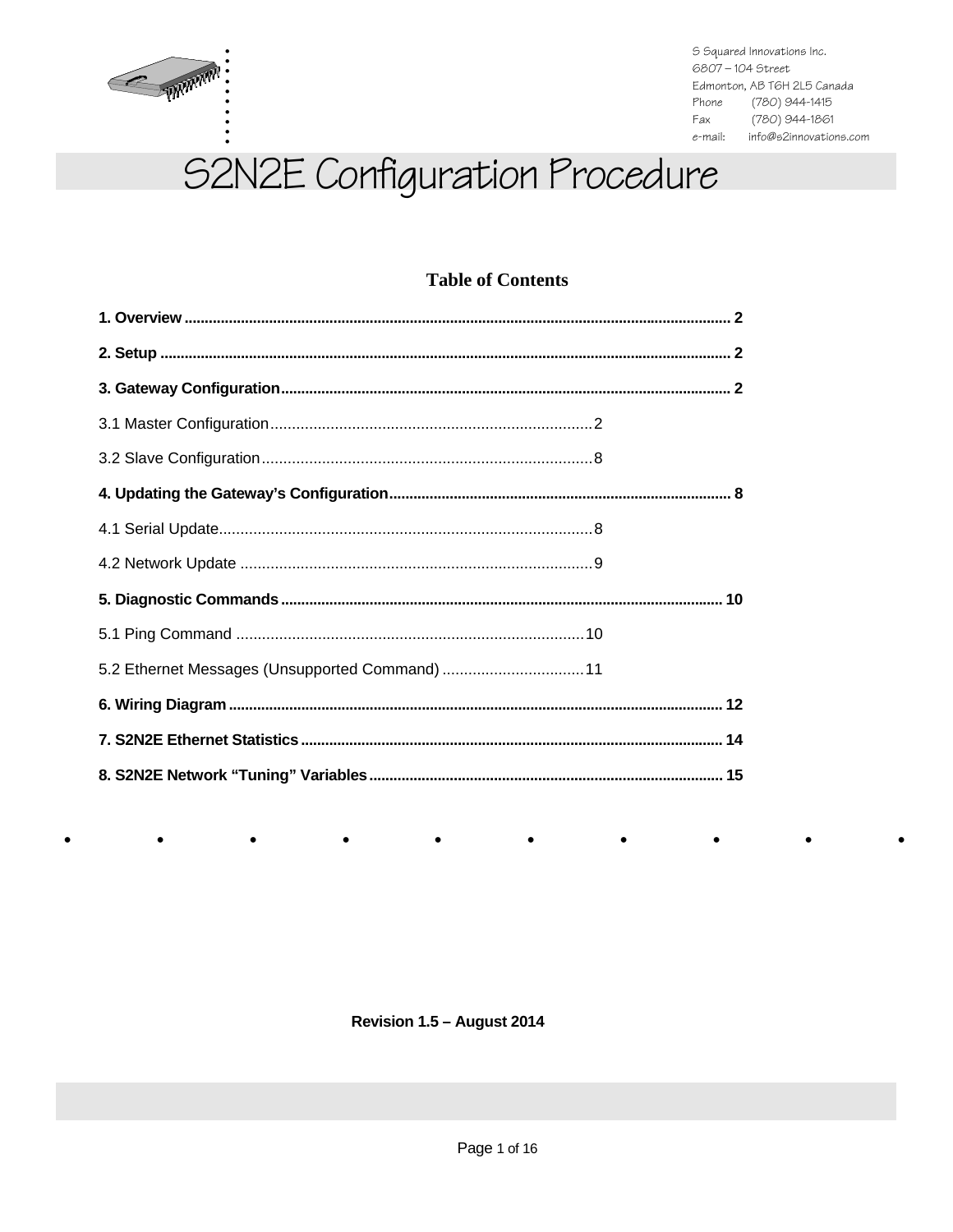

 $\bullet$ 

 $\bullet$ 

S Squared Innovations Inc. 6807-104 Street Edmonton, AB T6H 2L5 Canada Phone (780) 944-1415 Fax (780) 944-1861 e-mail: info@s2innovations.com

# S2N2E Configuration Procedure

## **Table of Contents**

| 5.2 Ethernet Messages (Unsupported Command)  11 |  |
|-------------------------------------------------|--|
|                                                 |  |
|                                                 |  |
|                                                 |  |

Revision 1.5 - August 2014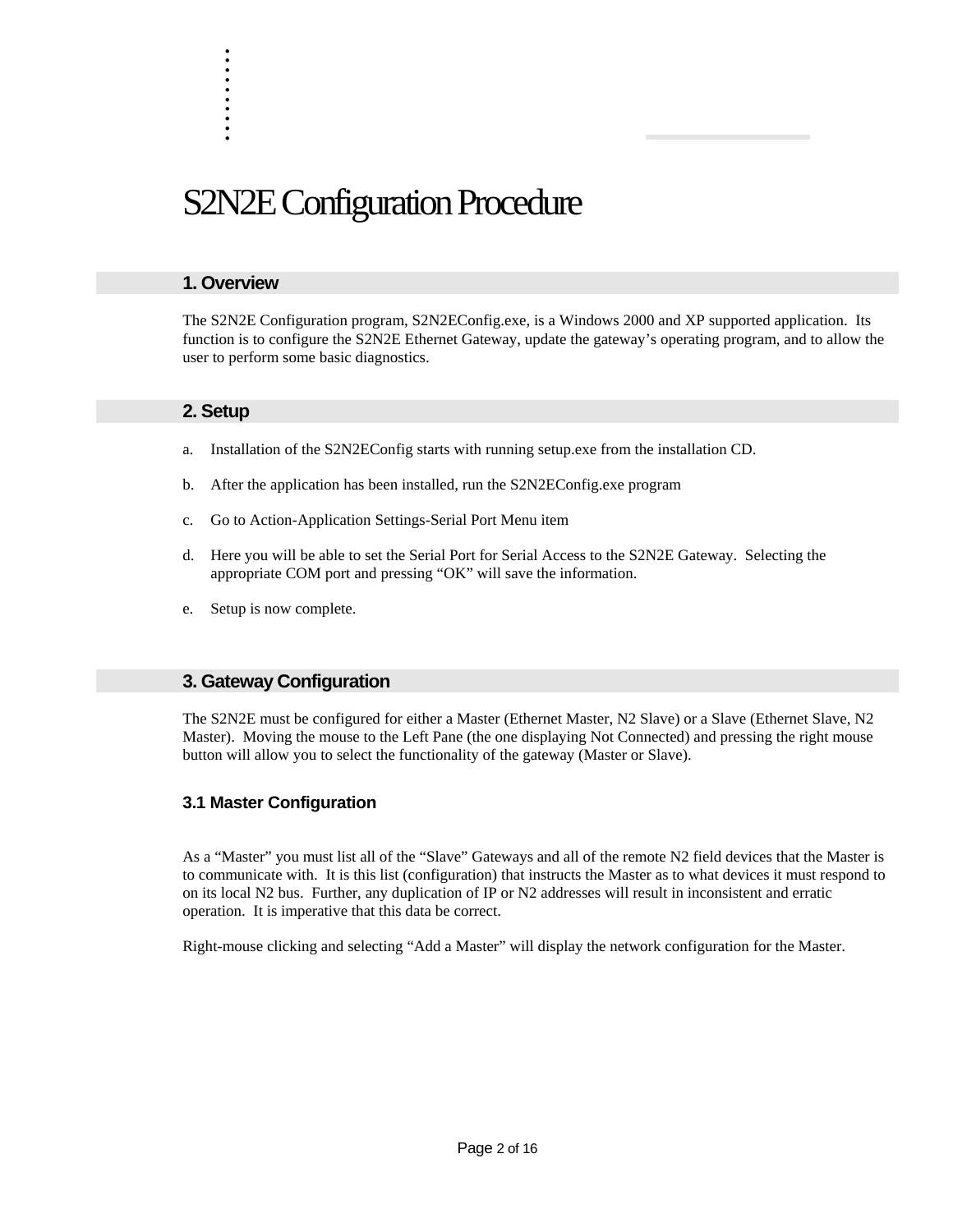# S2N2E Configuration Procedure

#### **1. Overview**

. . . . . . . . . .

The S2N2E Configuration program, S2N2EConfig.exe, is a Windows 2000 and XP supported application. Its function is to configure the S2N2E Ethernet Gateway, update the gateway's operating program, and to allow the user to perform some basic diagnostics.

#### **2. Setup**

- a. Installation of the S2N2EConfig starts with running setup.exe from the installation CD.
- b. After the application has been installed, run the S2N2EConfig.exe program
- c. Go to Action-Application Settings-Serial Port Menu item
- d. Here you will be able to set the Serial Port for Serial Access to the S2N2E Gateway. Selecting the appropriate COM port and pressing "OK" will save the information.
- e. Setup is now complete.

### **3. Gateway Configuration**

The S2N2E must be configured for either a Master (Ethernet Master, N2 Slave) or a Slave (Ethernet Slave, N2 Master). Moving the mouse to the Left Pane (the one displaying Not Connected) and pressing the right mouse button will allow you to select the functionality of the gateway (Master or Slave).

#### **3.1 Master Configuration**

As a "Master" you must list all of the "Slave" Gateways and all of the remote N2 field devices that the Master is to communicate with. It is this list (configuration) that instructs the Master as to what devices it must respond to on its local N2 bus. Further, any duplication of IP or N2 addresses will result in inconsistent and erratic operation. It is imperative that this data be correct.

Right-mouse clicking and selecting "Add a Master" will display the network configuration for the Master.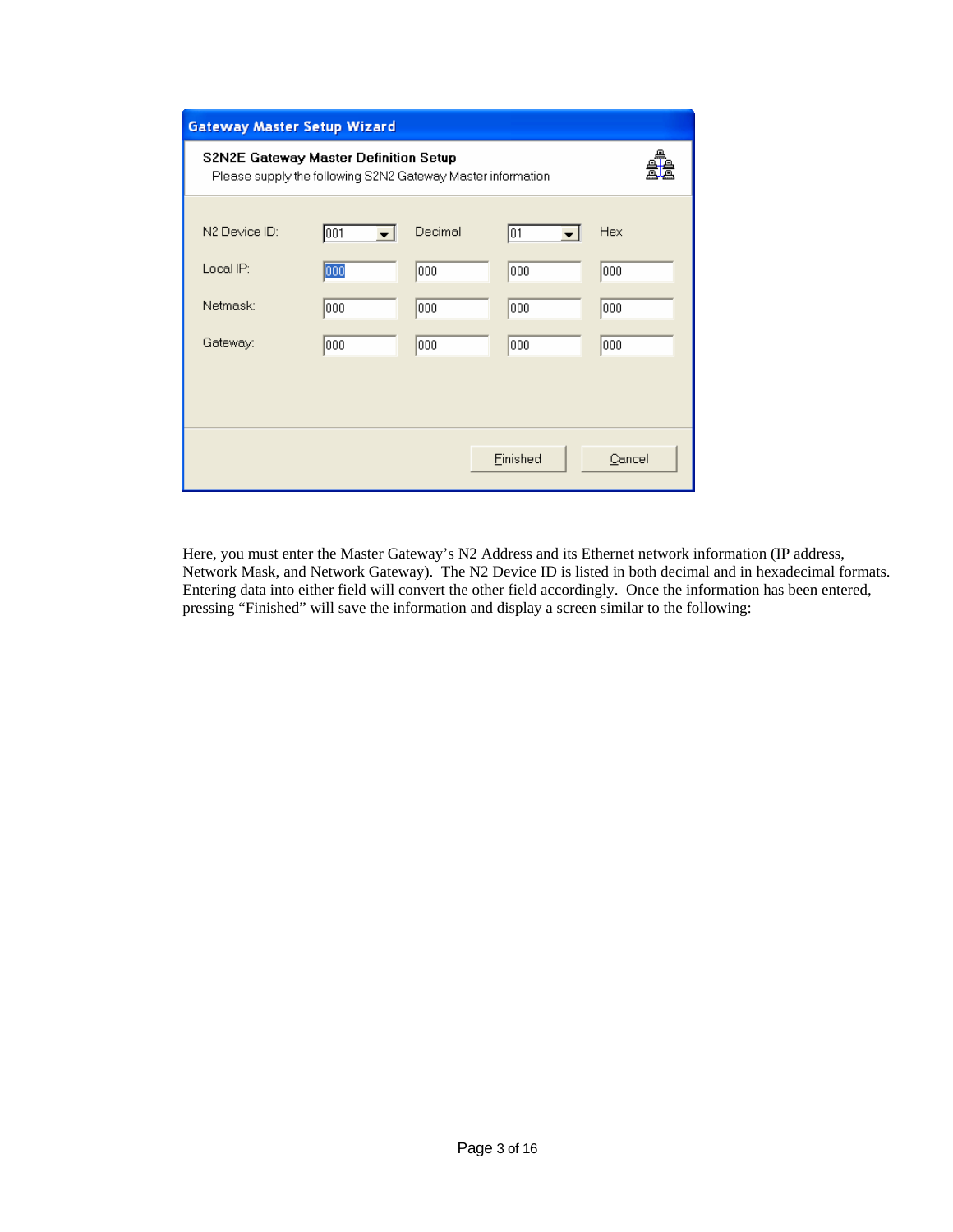| <b>Gateway Master Setup Wizard</b>                                                                          |     |         |          |        |  |
|-------------------------------------------------------------------------------------------------------------|-----|---------|----------|--------|--|
| <b>S2N2E Gateway Master Definition Setup</b><br>Please supply the following S2N2 Gateway Master information |     |         |          |        |  |
| N2 Device ID:                                                                                               | 001 | Decimal | 01       | Hex    |  |
| Local IP:                                                                                                   | 000 | looo    | 1000     | 000    |  |
| Netmask:                                                                                                    | 000 | 000     | 000      | 000    |  |
| Gateway:                                                                                                    | 000 | 000     | 000      | 000    |  |
|                                                                                                             |     |         |          |        |  |
|                                                                                                             |     |         |          |        |  |
|                                                                                                             |     |         | Finished | Cancel |  |

Here, you must enter the Master Gateway's N2 Address and its Ethernet network information (IP address, Network Mask, and Network Gateway). The N2 Device ID is listed in both decimal and in hexadecimal formats. Entering data into either field will convert the other field accordingly. Once the information has been entered, pressing "Finished" will save the information and display a screen similar to the following: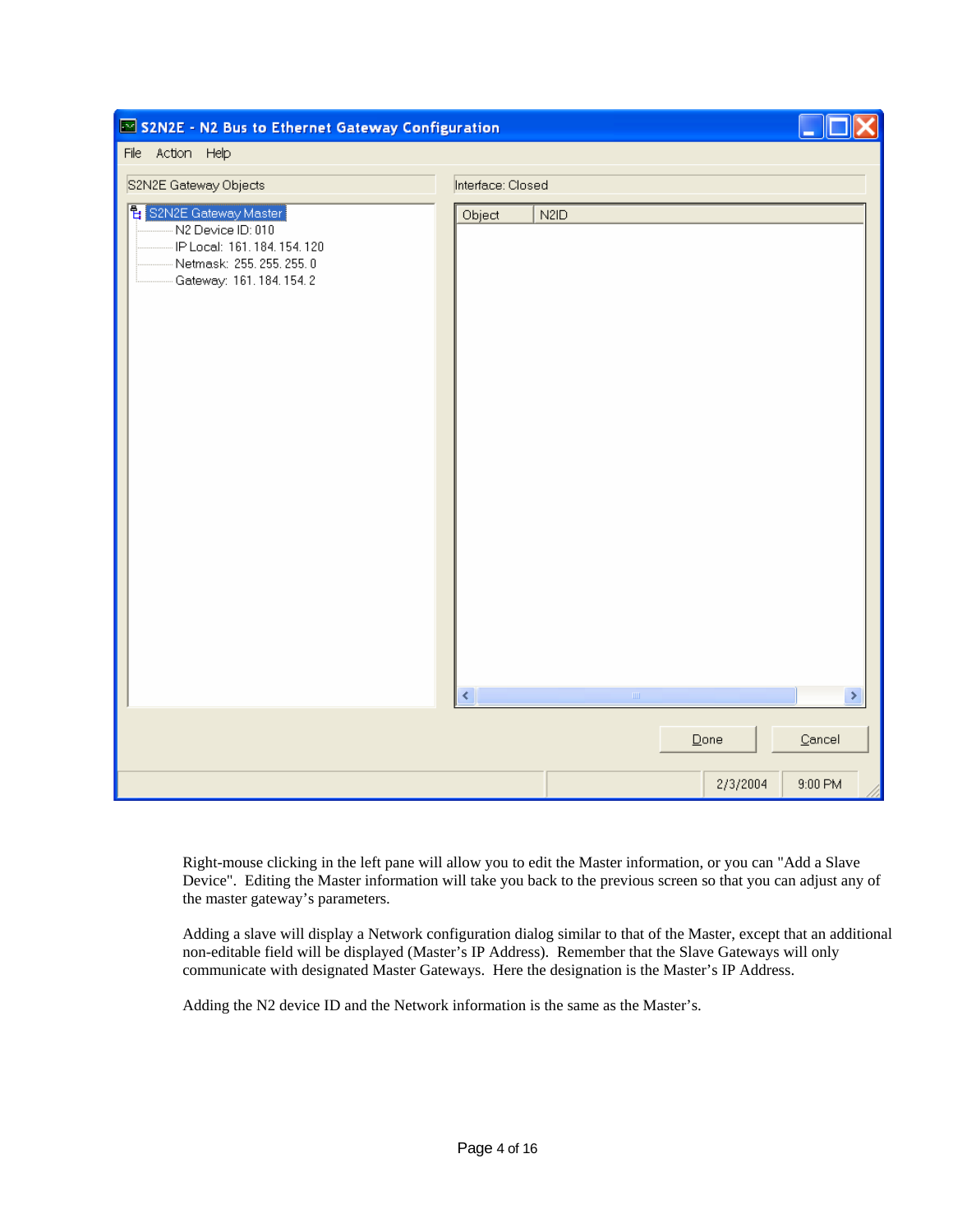| S2N2E - N2 Bus to Ethernet Gateway Configuration                                                                                                |                                         |                                             |
|-------------------------------------------------------------------------------------------------------------------------------------------------|-----------------------------------------|---------------------------------------------|
| File Action Help                                                                                                                                |                                         |                                             |
| S2N2E Gateway Objects                                                                                                                           | Interface: Closed                       |                                             |
| <mark>립</mark> S2N2E Gateway Master<br>N2 Device ID: 010<br>IP Local: 161, 184, 154, 120<br>Netmask: 255, 255, 255, 0<br>Gateway: 161.184.154.2 | Object<br>N <sub>2</sub> I <sub>D</sub> |                                             |
|                                                                                                                                                 | $\langle$<br>$\langle \Pi \Pi \rangle$  | $\,$                                        |
|                                                                                                                                                 | $\mathbf{\underline{D}}$ one            | $\ensuremath{\underline{\mathbb{C}}}$ ancel |
|                                                                                                                                                 | 2/3/2004                                | $9:00$ PM                                   |

Right-mouse clicking in the left pane will allow you to edit the Master information, or you can "Add a Slave Device". Editing the Master information will take you back to the previous screen so that you can adjust any of the master gateway's parameters.

Adding a slave will display a Network configuration dialog similar to that of the Master, except that an additional non-editable field will be displayed (Master's IP Address). Remember that the Slave Gateways will only communicate with designated Master Gateways. Here the designation is the Master's IP Address.

Adding the N2 device ID and the Network information is the same as the Master's.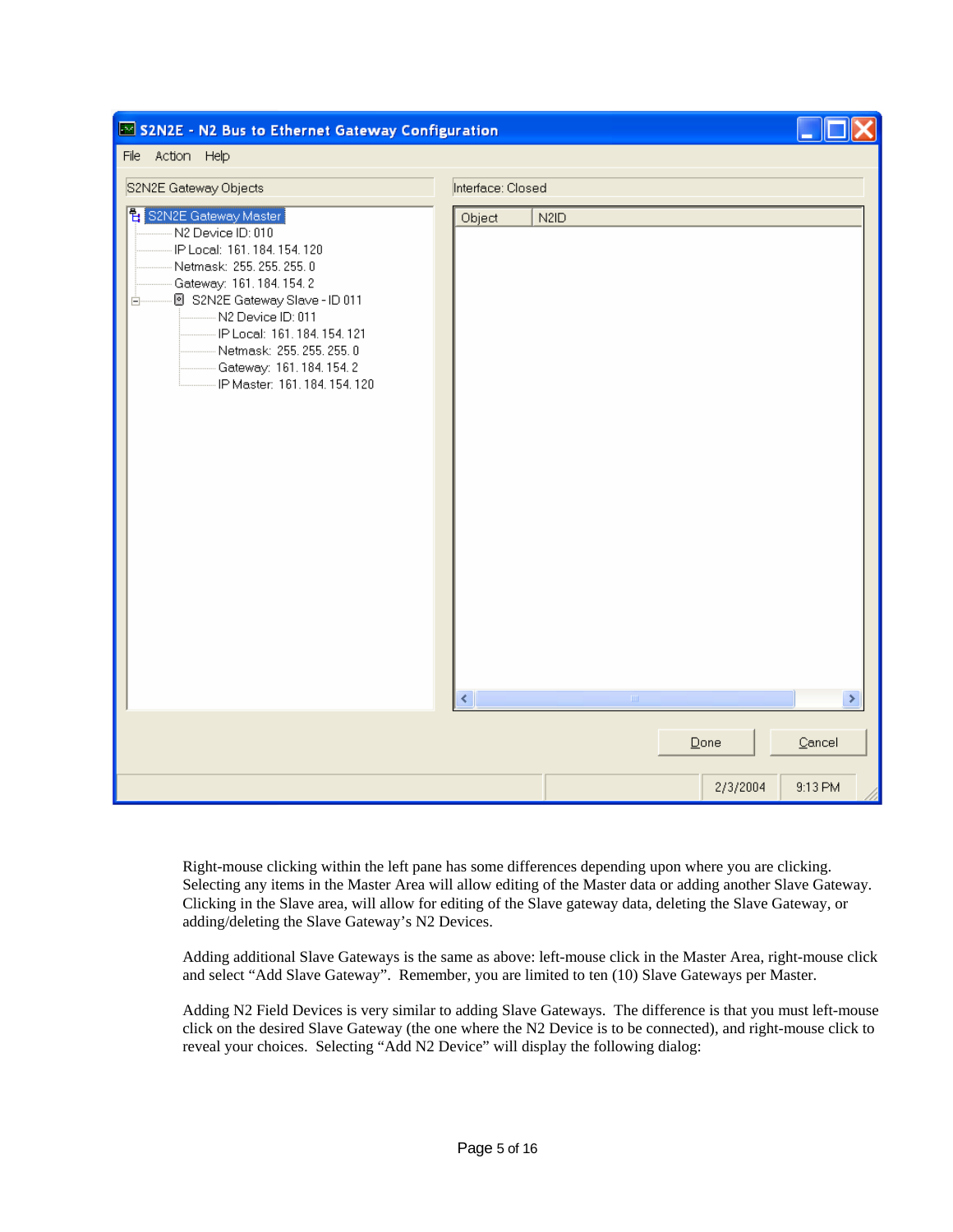| S2N2E - N2 Bus to Ethernet Gateway Configuration                                                                                                                                                                                                                                                                                  |                   |                               |          |                                             |
|-----------------------------------------------------------------------------------------------------------------------------------------------------------------------------------------------------------------------------------------------------------------------------------------------------------------------------------|-------------------|-------------------------------|----------|---------------------------------------------|
| File Action Help                                                                                                                                                                                                                                                                                                                  |                   |                               |          |                                             |
| S2N2E Gateway Objects                                                                                                                                                                                                                                                                                                             | Interface: Closed |                               |          |                                             |
| <mark>현</mark> S2N2E Gateway Master<br>N2 Device ID: 010<br>IP Local: 161, 184, 154, 120<br>Netmask: 255, 255, 255, 0<br>Gateway: 161.184.154.2<br>S2N2E Gateway Slave - ID 011<br>Ė<br>N2 Device ID: 011<br>IP Local: 161, 184, 154, 121<br>Netmask: 255, 255, 255, 0<br>Gateway: 161.184.154.2<br>IP Master: 161, 184, 154, 120 | Object            | N <sub>2</sub> I <sub>D</sub> |          |                                             |
|                                                                                                                                                                                                                                                                                                                                   | ¢                 | $\rm{III}$                    |          | ×.                                          |
|                                                                                                                                                                                                                                                                                                                                   |                   |                               | Done     | $\ensuremath{\underline{\mathbb{C}}}$ ancel |
|                                                                                                                                                                                                                                                                                                                                   |                   |                               | 2/3/2004 | 9:13 PM                                     |

Right-mouse clicking within the left pane has some differences depending upon where you are clicking. Selecting any items in the Master Area will allow editing of the Master data or adding another Slave Gateway. Clicking in the Slave area, will allow for editing of the Slave gateway data, deleting the Slave Gateway, or adding/deleting the Slave Gateway's N2 Devices.

Adding additional Slave Gateways is the same as above: left-mouse click in the Master Area, right-mouse click and select "Add Slave Gateway". Remember, you are limited to ten (10) Slave Gateways per Master.

Adding N2 Field Devices is very similar to adding Slave Gateways. The difference is that you must left-mouse click on the desired Slave Gateway (the one where the N2 Device is to be connected), and right-mouse click to reveal your choices. Selecting "Add N2 Device" will display the following dialog: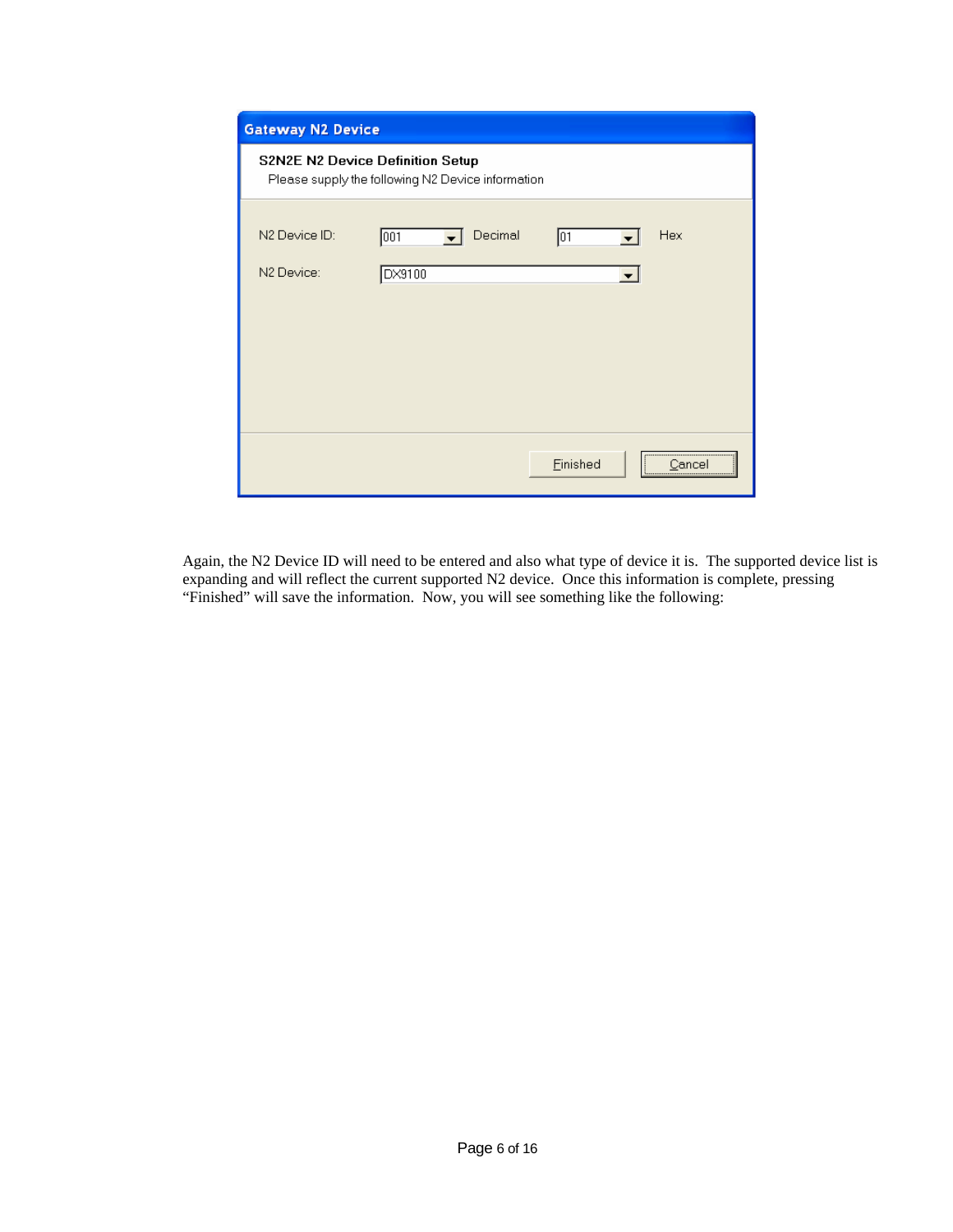| <b>Gateway N2 Device</b>                                                                     |                                           |  |  |  |
|----------------------------------------------------------------------------------------------|-------------------------------------------|--|--|--|
| <b>S2N2E N2 Device Definition Setup</b><br>Please supply the following N2 Device information |                                           |  |  |  |
| N2 Device ID:<br>001<br>N2 Device:<br>DX9100                                                 | Decimal<br>Hex<br>101                     |  |  |  |
|                                                                                              | Einished<br>Cancel<br>------------------- |  |  |  |

Again, the N2 Device ID will need to be entered and also what type of device it is. The supported device list is expanding and will reflect the current supported N2 device. Once this information is complete, pressing "Finished" will save the information. Now, you will see something like the following: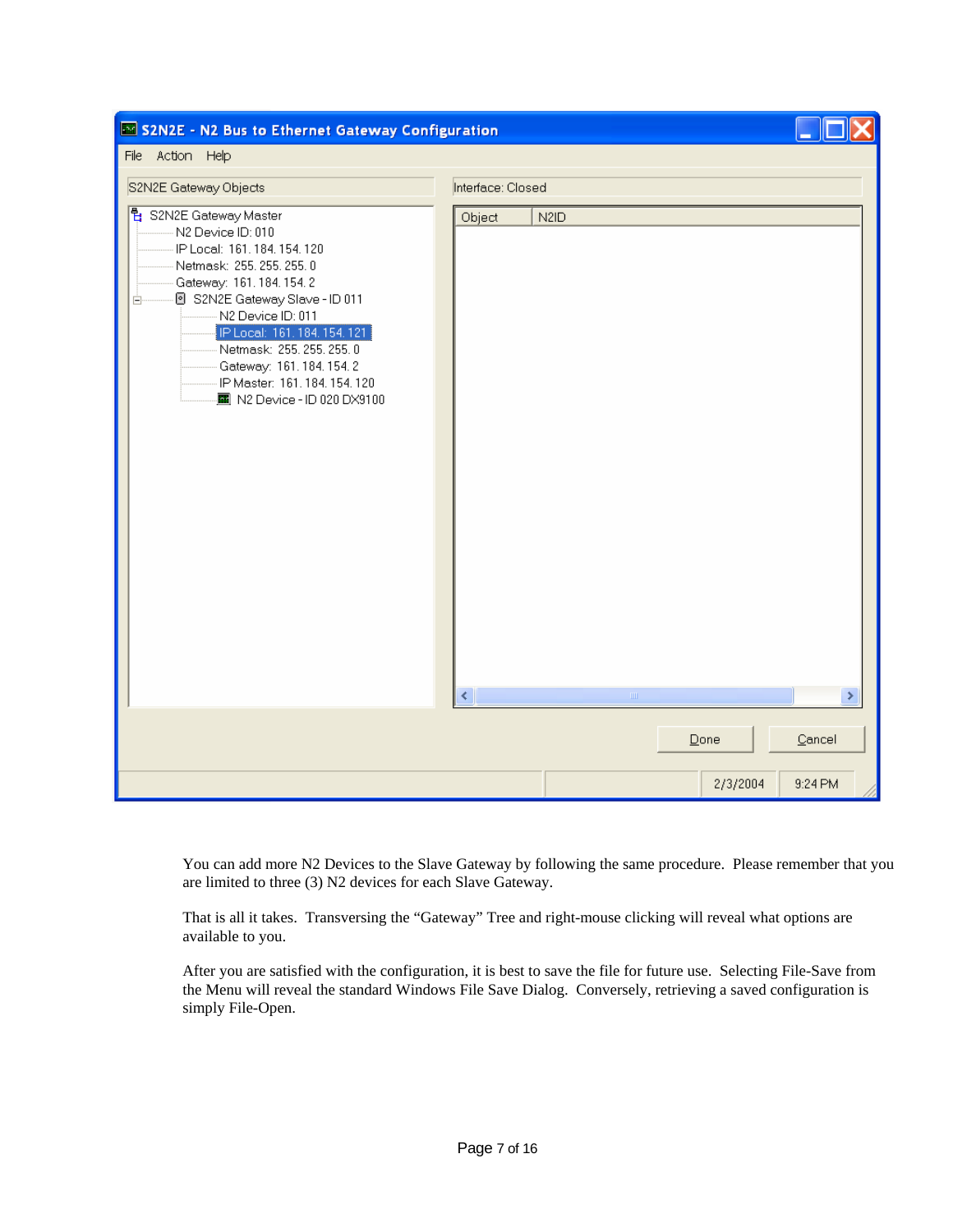| S2N2E - N2 Bus to Ethernet Gateway Configuration                                                                                                                                                                                                                                                                                                                 |                                                                 |
|------------------------------------------------------------------------------------------------------------------------------------------------------------------------------------------------------------------------------------------------------------------------------------------------------------------------------------------------------------------|-----------------------------------------------------------------|
| File Action Help                                                                                                                                                                                                                                                                                                                                                 |                                                                 |
| S2N2E Gateway Objects                                                                                                                                                                                                                                                                                                                                            | Interface: Closed                                               |
| <mark>림</mark> S2N2E Gateway Master<br>N2 Device ID: 010<br>IP Local: 161, 184, 154, 120<br>Netmask: 255, 255, 255, 0<br>Gateway: 161.184.154.2<br>8 S2N2E Gateway Slave - ID 011<br>Ė.<br>N2 Device ID: 011<br>IP Local: 161, 184, 154, 121<br>Netmask: 255, 255, 255, 0<br>Gateway: 161.184.154.2<br>IP Master: 161.184.154.120<br>图 N2 Device - ID 020 DX9100 | N <sub>2</sub> I <sub>D</sub><br>Object<br>¢<br>$\rm HII$<br>×. |
|                                                                                                                                                                                                                                                                                                                                                                  | Cancel<br>Done                                                  |
|                                                                                                                                                                                                                                                                                                                                                                  | 2/3/2004<br>9:24 PM                                             |

You can add more N2 Devices to the Slave Gateway by following the same procedure. Please remember that you are limited to three (3) N2 devices for each Slave Gateway.

That is all it takes. Transversing the "Gateway" Tree and right-mouse clicking will reveal what options are available to you.

After you are satisfied with the configuration, it is best to save the file for future use. Selecting File-Save from the Menu will reveal the standard Windows File Save Dialog. Conversely, retrieving a saved configuration is simply File-Open.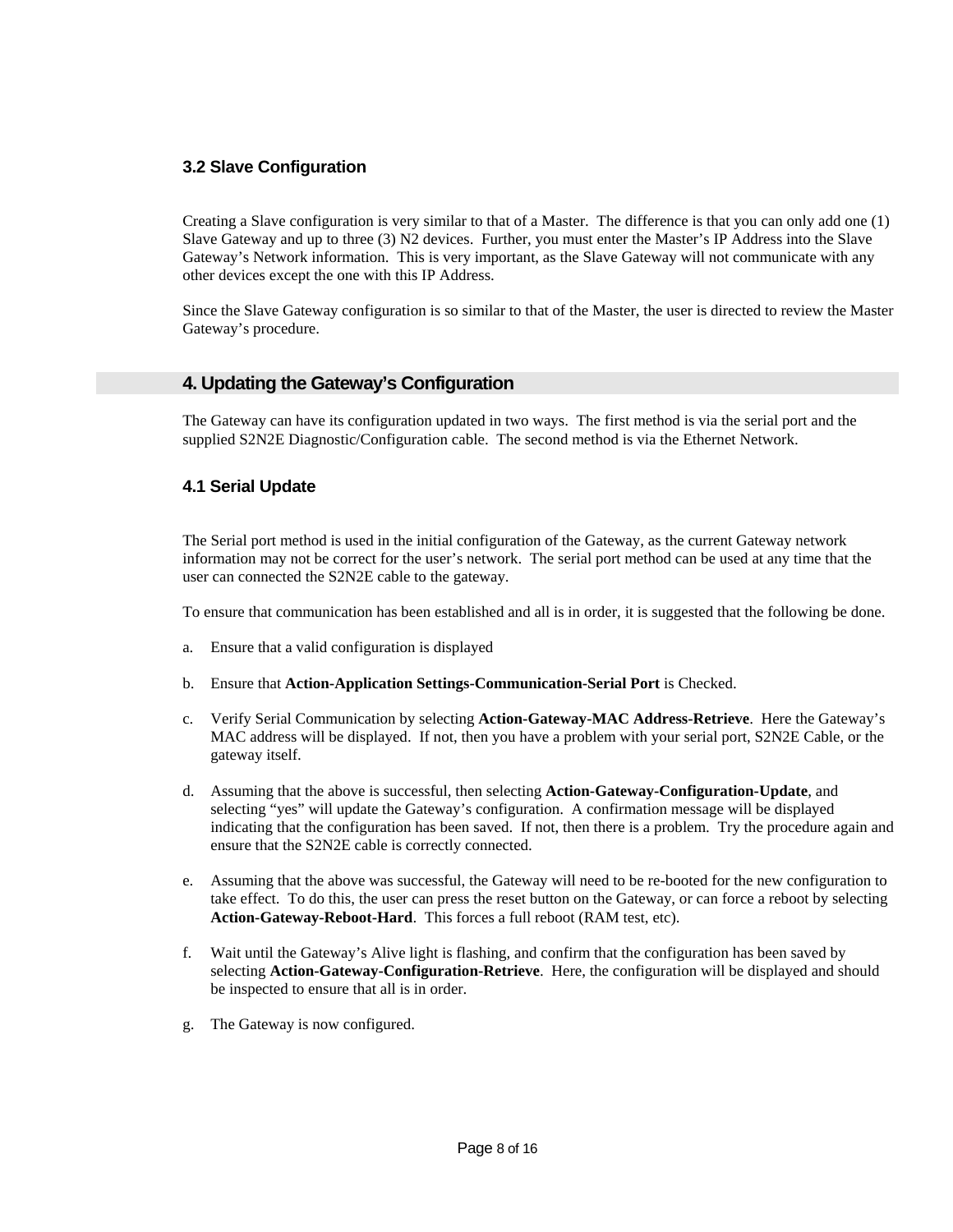### **3.2 Slave Configuration**

Creating a Slave configuration is very similar to that of a Master. The difference is that you can only add one (1) Slave Gateway and up to three (3) N2 devices. Further, you must enter the Master's IP Address into the Slave Gateway's Network information. This is very important, as the Slave Gateway will not communicate with any other devices except the one with this IP Address.

Since the Slave Gateway configuration is so similar to that of the Master, the user is directed to review the Master Gateway's procedure.

#### **4. Updating the Gateway's Configuration**

The Gateway can have its configuration updated in two ways. The first method is via the serial port and the supplied S2N2E Diagnostic/Configuration cable. The second method is via the Ethernet Network.

#### **4.1 Serial Update**

The Serial port method is used in the initial configuration of the Gateway, as the current Gateway network information may not be correct for the user's network. The serial port method can be used at any time that the user can connected the S2N2E cable to the gateway.

To ensure that communication has been established and all is in order, it is suggested that the following be done.

- a. Ensure that a valid configuration is displayed
- b. Ensure that **Action-Application Settings-Communication-Serial Port** is Checked.
- c. Verify Serial Communication by selecting **Action-Gateway-MAC Address-Retrieve**. Here the Gateway's MAC address will be displayed. If not, then you have a problem with your serial port, S2N2E Cable, or the gateway itself.
- d. Assuming that the above is successful, then selecting **Action-Gateway-Configuration-Update**, and selecting "yes" will update the Gateway's configuration. A confirmation message will be displayed indicating that the configuration has been saved. If not, then there is a problem. Try the procedure again and ensure that the S2N2E cable is correctly connected.
- e. Assuming that the above was successful, the Gateway will need to be re-booted for the new configuration to take effect. To do this, the user can press the reset button on the Gateway, or can force a reboot by selecting **Action-Gateway-Reboot-Hard**. This forces a full reboot (RAM test, etc).
- f. Wait until the Gateway's Alive light is flashing, and confirm that the configuration has been saved by selecting **Action-Gateway-Configuration-Retrieve**. Here, the configuration will be displayed and should be inspected to ensure that all is in order.
- g. The Gateway is now configured.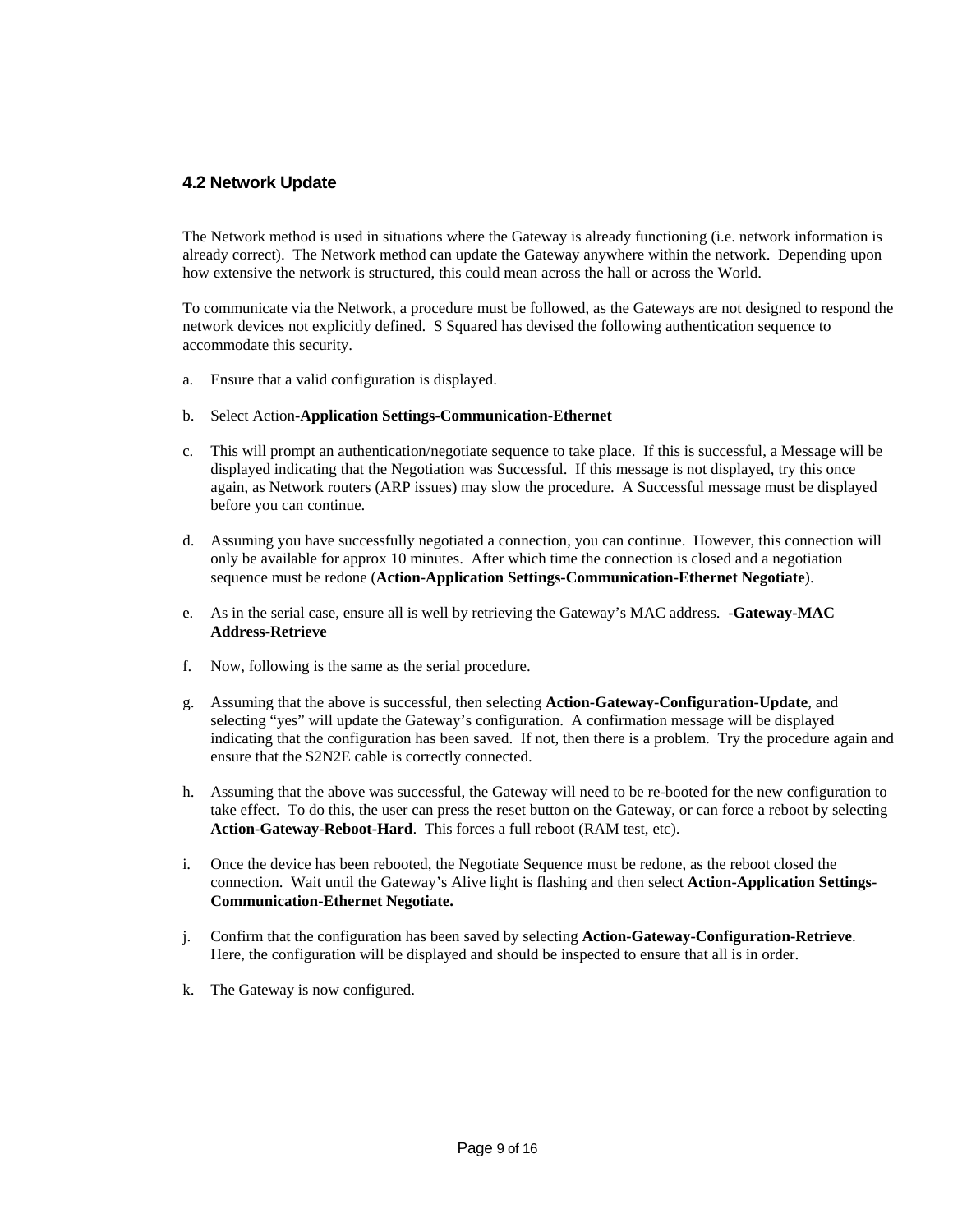#### **4.2 Network Update**

The Network method is used in situations where the Gateway is already functioning (i.e. network information is already correct). The Network method can update the Gateway anywhere within the network. Depending upon how extensive the network is structured, this could mean across the hall or across the World.

To communicate via the Network, a procedure must be followed, as the Gateways are not designed to respond the network devices not explicitly defined. S Squared has devised the following authentication sequence to accommodate this security.

- a. Ensure that a valid configuration is displayed.
- b. Select Action**-Application Settings-Communication-Ethernet**
- c. This will prompt an authentication/negotiate sequence to take place. If this is successful, a Message will be displayed indicating that the Negotiation was Successful. If this message is not displayed, try this once again, as Network routers (ARP issues) may slow the procedure. A Successful message must be displayed before you can continue.
- d. Assuming you have successfully negotiated a connection, you can continue. However, this connection will only be available for approx 10 minutes. After which time the connection is closed and a negotiation sequence must be redone (**Action-Application Settings-Communication-Ethernet Negotiate**).
- e. As in the serial case, ensure all is well by retrieving the Gateway's MAC address. -**Gateway-MAC Address-Retrieve**
- f. Now, following is the same as the serial procedure.
- g. Assuming that the above is successful, then selecting **Action-Gateway-Configuration-Update**, and selecting "yes" will update the Gateway's configuration. A confirmation message will be displayed indicating that the configuration has been saved. If not, then there is a problem. Try the procedure again and ensure that the S2N2E cable is correctly connected.
- h. Assuming that the above was successful, the Gateway will need to be re-booted for the new configuration to take effect. To do this, the user can press the reset button on the Gateway, or can force a reboot by selecting **Action-Gateway-Reboot-Hard**. This forces a full reboot (RAM test, etc).
- i. Once the device has been rebooted, the Negotiate Sequence must be redone, as the reboot closed the connection. Wait until the Gateway's Alive light is flashing and then select **Action-Application Settings-Communication-Ethernet Negotiate.**
- j. Confirm that the configuration has been saved by selecting **Action-Gateway-Configuration-Retrieve**. Here, the configuration will be displayed and should be inspected to ensure that all is in order.
- k. The Gateway is now configured.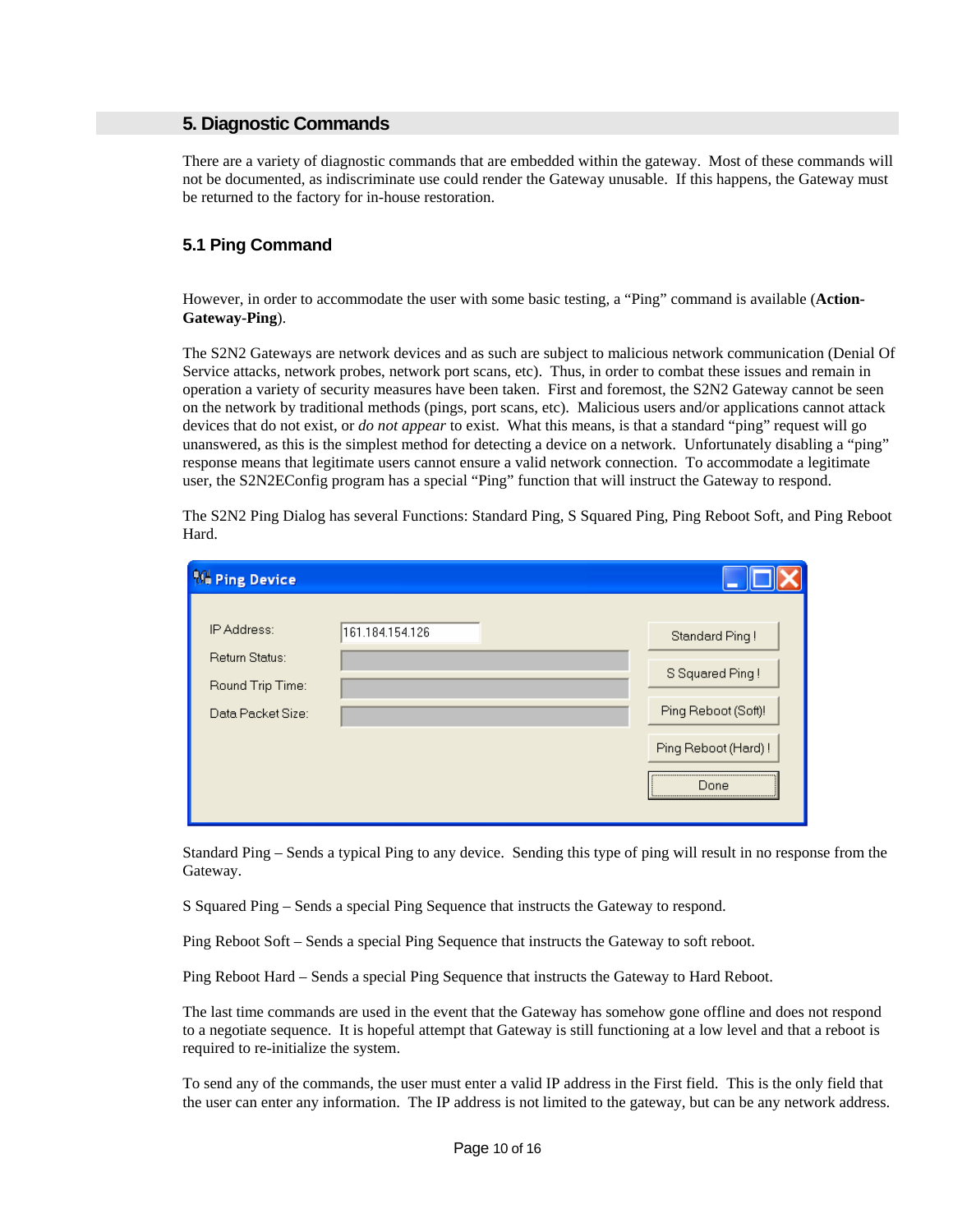#### **5. Diagnostic Commands**

There are a variety of diagnostic commands that are embedded within the gateway. Most of these commands will not be documented, as indiscriminate use could render the Gateway unusable. If this happens, the Gateway must be returned to the factory for in-house restoration.

#### **5.1 Ping Command**

However, in order to accommodate the user with some basic testing, a "Ping" command is available (**Action-Gateway-Ping**).

The S2N2 Gateways are network devices and as such are subject to malicious network communication (Denial Of Service attacks, network probes, network port scans, etc). Thus, in order to combat these issues and remain in operation a variety of security measures have been taken. First and foremost, the S2N2 Gateway cannot be seen on the network by traditional methods (pings, port scans, etc). Malicious users and/or applications cannot attack devices that do not exist, or *do not appear* to exist. What this means, is that a standard "ping" request will go unanswered, as this is the simplest method for detecting a device on a network. Unfortunately disabling a "ping" response means that legitimate users cannot ensure a valid network connection. To accommodate a legitimate user, the S2N2EConfig program has a special "Ping" function that will instruct the Gateway to respond.

The S2N2 Ping Dialog has several Functions: Standard Ping, S Squared Ping, Ping Reboot Soft, and Ping Reboot Hard.

| <b>16 Ping Device</b>              |                 |                     |
|------------------------------------|-----------------|---------------------|
| IP Address:                        | 161.184.154.126 | Standard Ping!      |
| Return Status:<br>Round Trip Time: |                 | S Squared Ping!     |
| Data Packet Size:                  |                 | Ping Reboot (Soft)! |
|                                    |                 | Ping Reboot (Hard)! |
|                                    |                 | Done                |

Standard Ping – Sends a typical Ping to any device. Sending this type of ping will result in no response from the Gateway.

S Squared Ping – Sends a special Ping Sequence that instructs the Gateway to respond.

Ping Reboot Soft – Sends a special Ping Sequence that instructs the Gateway to soft reboot.

Ping Reboot Hard – Sends a special Ping Sequence that instructs the Gateway to Hard Reboot.

The last time commands are used in the event that the Gateway has somehow gone offline and does not respond to a negotiate sequence. It is hopeful attempt that Gateway is still functioning at a low level and that a reboot is required to re-initialize the system.

To send any of the commands, the user must enter a valid IP address in the First field. This is the only field that the user can enter any information. The IP address is not limited to the gateway, but can be any network address.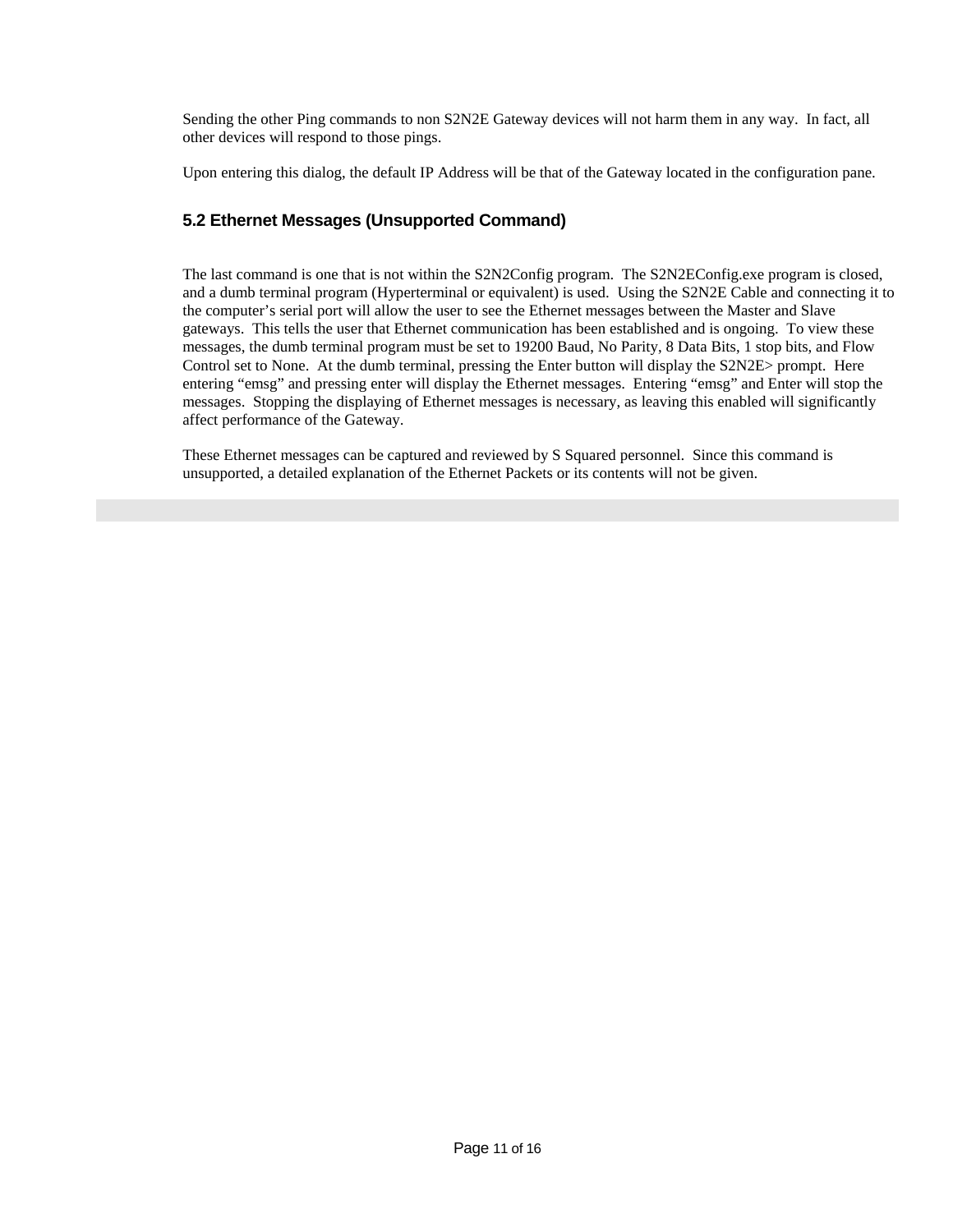Sending the other Ping commands to non S2N2E Gateway devices will not harm them in any way. In fact, all other devices will respond to those pings.

Upon entering this dialog, the default IP Address will be that of the Gateway located in the configuration pane.

#### **5.2 Ethernet Messages (Unsupported Command)**

The last command is one that is not within the S2N2Config program. The S2N2EConfig.exe program is closed, and a dumb terminal program (Hyperterminal or equivalent) is used. Using the S2N2E Cable and connecting it to the computer's serial port will allow the user to see the Ethernet messages between the Master and Slave gateways. This tells the user that Ethernet communication has been established and is ongoing. To view these messages, the dumb terminal program must be set to 19200 Baud, No Parity, 8 Data Bits, 1 stop bits, and Flow Control set to None. At the dumb terminal, pressing the Enter button will display the S2N2E> prompt. Here entering "emsg" and pressing enter will display the Ethernet messages. Entering "emsg" and Enter will stop the messages. Stopping the displaying of Ethernet messages is necessary, as leaving this enabled will significantly affect performance of the Gateway.

These Ethernet messages can be captured and reviewed by S Squared personnel. Since this command is unsupported, a detailed explanation of the Ethernet Packets or its contents will not be given.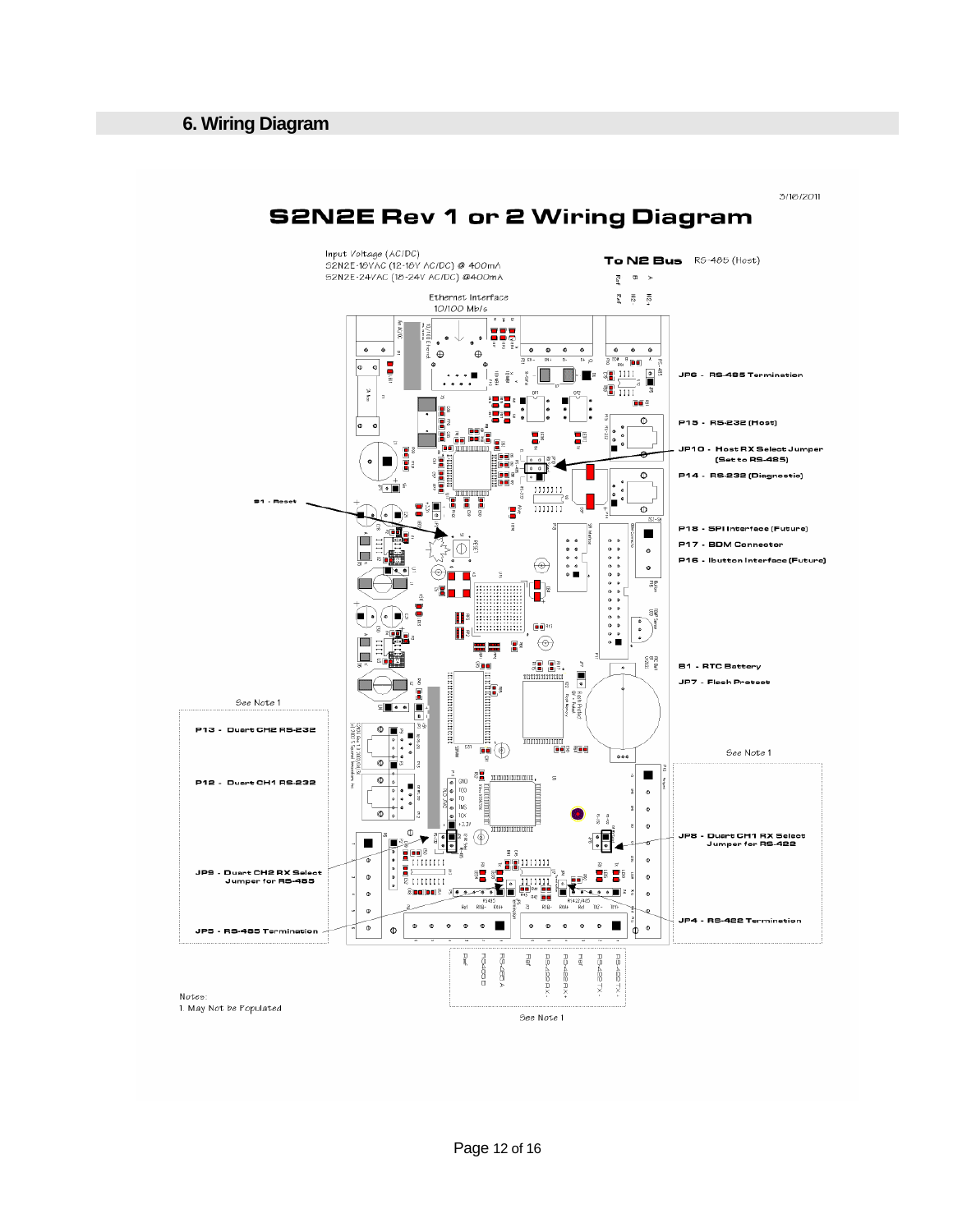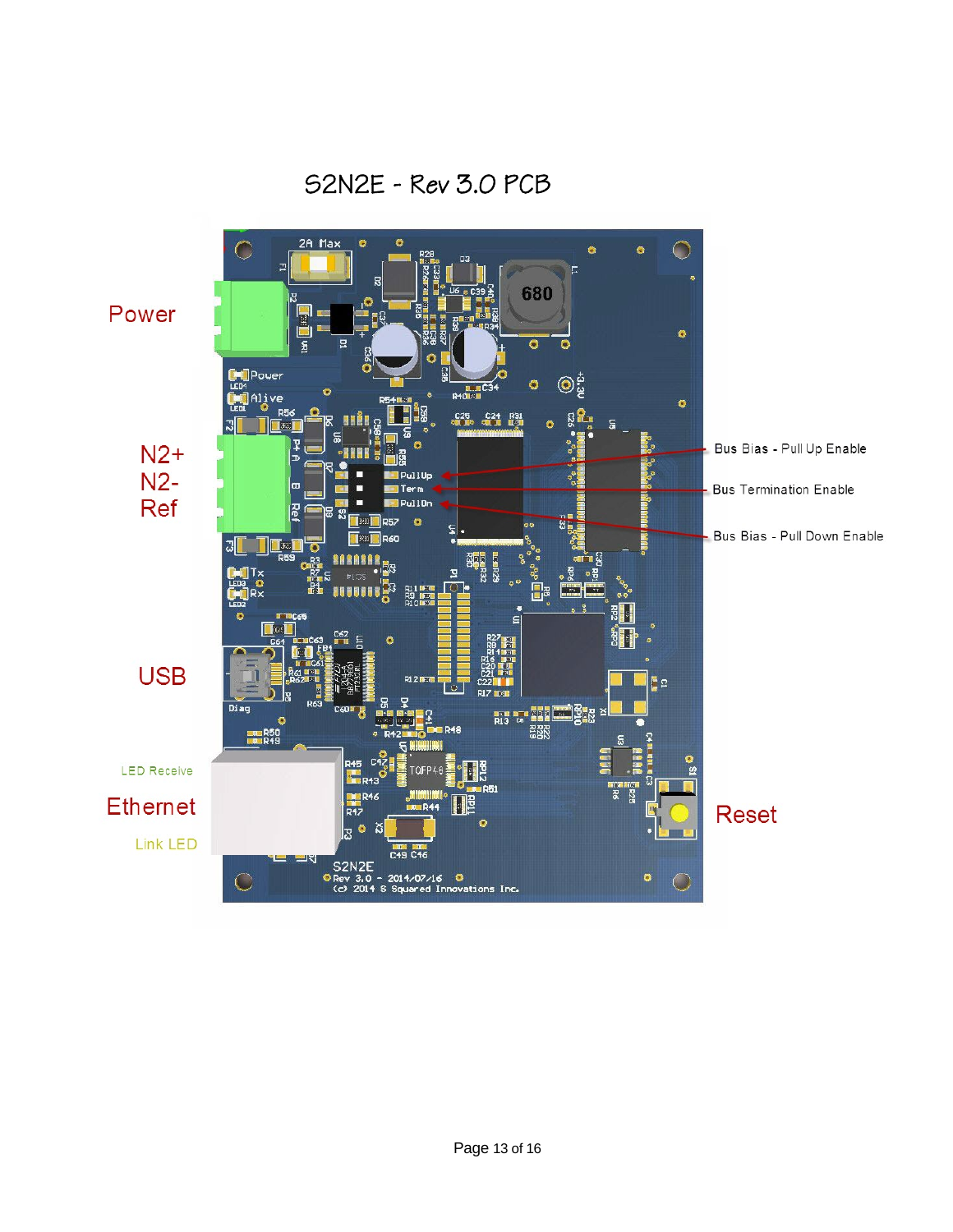S2N2E - Rev 3.0 PCB

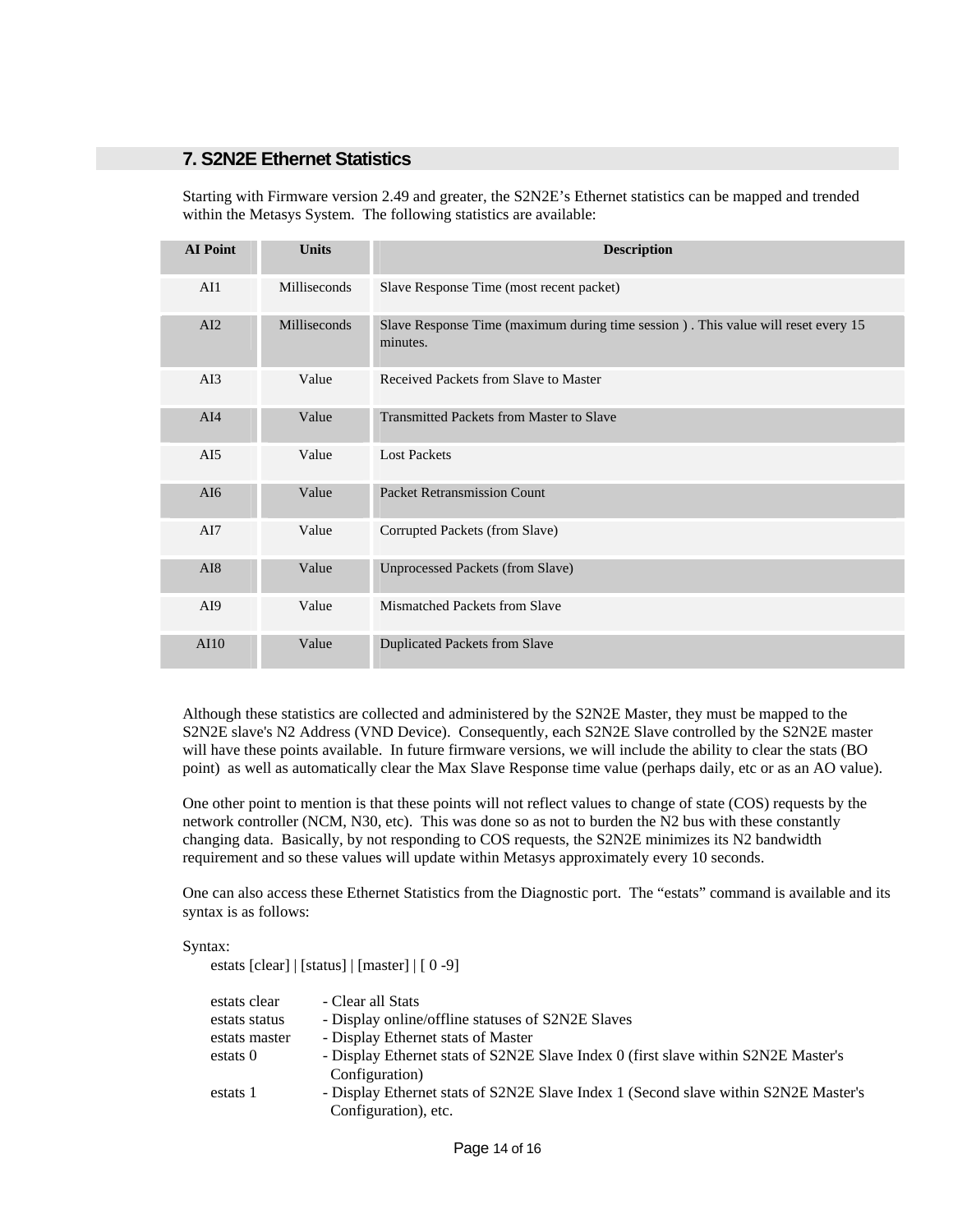#### **7. S2N2E Ethernet Statistics**

Starting with Firmware version 2.49 and greater, the S2N2E's Ethernet statistics can be mapped and trended within the Metasys System. The following statistics are available:

| <b>AI</b> Point  | <b>Units</b> | <b>Description</b>                                                                              |
|------------------|--------------|-------------------------------------------------------------------------------------------------|
| AI1              | Milliseconds | Slave Response Time (most recent packet)                                                        |
| AI2              | Milliseconds | Slave Response Time (maximum during time session ) . This value will reset every 15<br>minutes. |
| AI3              | Value        | Received Packets from Slave to Master                                                           |
| AI4              | Value        | <b>Transmitted Packets from Master to Slave</b>                                                 |
| AI5              | Value        | <b>Lost Packets</b>                                                                             |
| AI6              | Value        | <b>Packet Retransmission Count</b>                                                              |
| AI7              | Value        | Corrupted Packets (from Slave)                                                                  |
| AI8              | Value        | <b>Unprocessed Packets (from Slave)</b>                                                         |
| A <sub>I</sub> 9 | Value        | Mismatched Packets from Slave                                                                   |
| AI10             | Value        | <b>Duplicated Packets from Slave</b>                                                            |

Although these statistics are collected and administered by the S2N2E Master, they must be mapped to the S2N2E slave's N2 Address (VND Device). Consequently, each S2N2E Slave controlled by the S2N2E master will have these points available. In future firmware versions, we will include the ability to clear the stats (BO point) as well as automatically clear the Max Slave Response time value (perhaps daily, etc or as an AO value).

One other point to mention is that these points will not reflect values to change of state (COS) requests by the network controller (NCM, N30, etc). This was done so as not to burden the N2 bus with these constantly changing data. Basically, by not responding to COS requests, the S2N2E minimizes its N2 bandwidth requirement and so these values will update within Metasys approximately every 10 seconds.

One can also access these Ethernet Statistics from the Diagnostic port. The "estats" command is available and its syntax is as follows:

#### Syntax:

estats [clear] | [status] | [master] | [ 0 -9]

| estats clear  | - Clear all Stats                                                                   |
|---------------|-------------------------------------------------------------------------------------|
| estats status | - Display online/offline statuses of S2N2E Slaves                                   |
| estats master | - Display Ethernet stats of Master                                                  |
| estats 0      | - Display Ethernet stats of S2N2E Slave Index 0 (first slave within S2N2E Master's  |
|               | Configuration)                                                                      |
| estats 1      | - Display Ethernet stats of S2N2E Slave Index 1 (Second slave within S2N2E Master's |
|               | Configuration), etc.                                                                |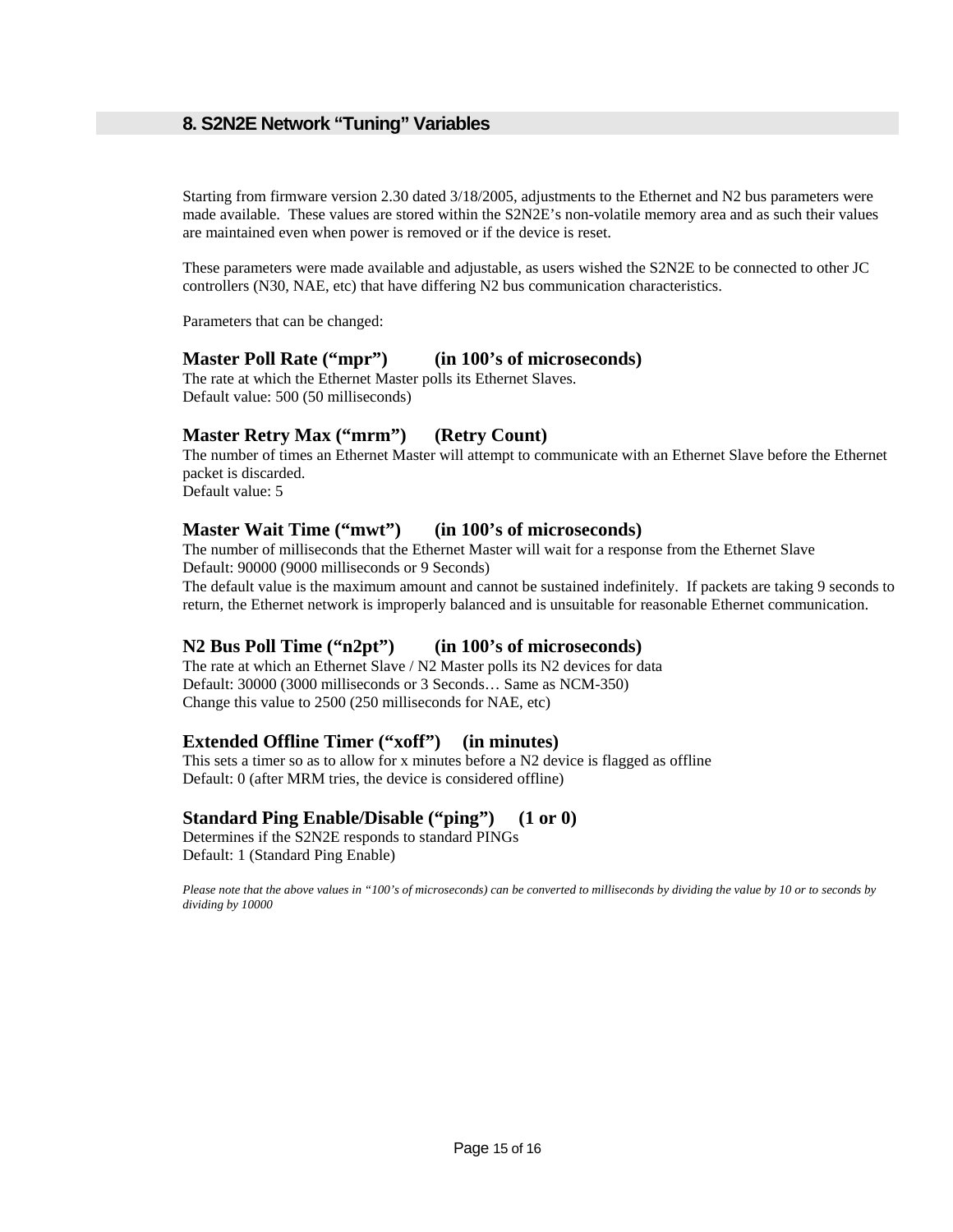### **8. S2N2E Network "Tuning" Variables**

Starting from firmware version 2.30 dated 3/18/2005, adjustments to the Ethernet and N2 bus parameters were made available. These values are stored within the S2N2E's non-volatile memory area and as such their values are maintained even when power is removed or if the device is reset.

These parameters were made available and adjustable, as users wished the S2N2E to be connected to other JC controllers (N30, NAE, etc) that have differing N2 bus communication characteristics.

Parameters that can be changed:

#### **Master Poll Rate ("mpr") (in 100's of microseconds)**

The rate at which the Ethernet Master polls its Ethernet Slaves. Default value: 500 (50 milliseconds)

#### **Master Retry Max ("mrm") (Retry Count)**

The number of times an Ethernet Master will attempt to communicate with an Ethernet Slave before the Ethernet packet is discarded.

Default value: 5

#### **Master Wait Time ("mwt") (in 100's of microseconds)**

The number of milliseconds that the Ethernet Master will wait for a response from the Ethernet Slave Default: 90000 (9000 milliseconds or 9 Seconds)

The default value is the maximum amount and cannot be sustained indefinitely. If packets are taking 9 seconds to return, the Ethernet network is improperly balanced and is unsuitable for reasonable Ethernet communication.

#### **N2 Bus Poll Time ("n2pt") (in 100's of microseconds)**

The rate at which an Ethernet Slave / N2 Master polls its N2 devices for data Default: 30000 (3000 milliseconds or 3 Seconds… Same as NCM-350) Change this value to 2500 (250 milliseconds for NAE, etc)

#### **Extended Offline Timer ("xoff") (in minutes)**

This sets a timer so as to allow for x minutes before a N2 device is flagged as offline Default: 0 (after MRM tries, the device is considered offline)

#### **Standard Ping Enable/Disable ("ping") (1 or 0)**

Determines if the S2N2E responds to standard PINGs Default: 1 (Standard Ping Enable)

*Please note that the above values in "100's of microseconds) can be converted to milliseconds by dividing the value by 10 or to seconds by dividing by 10000*